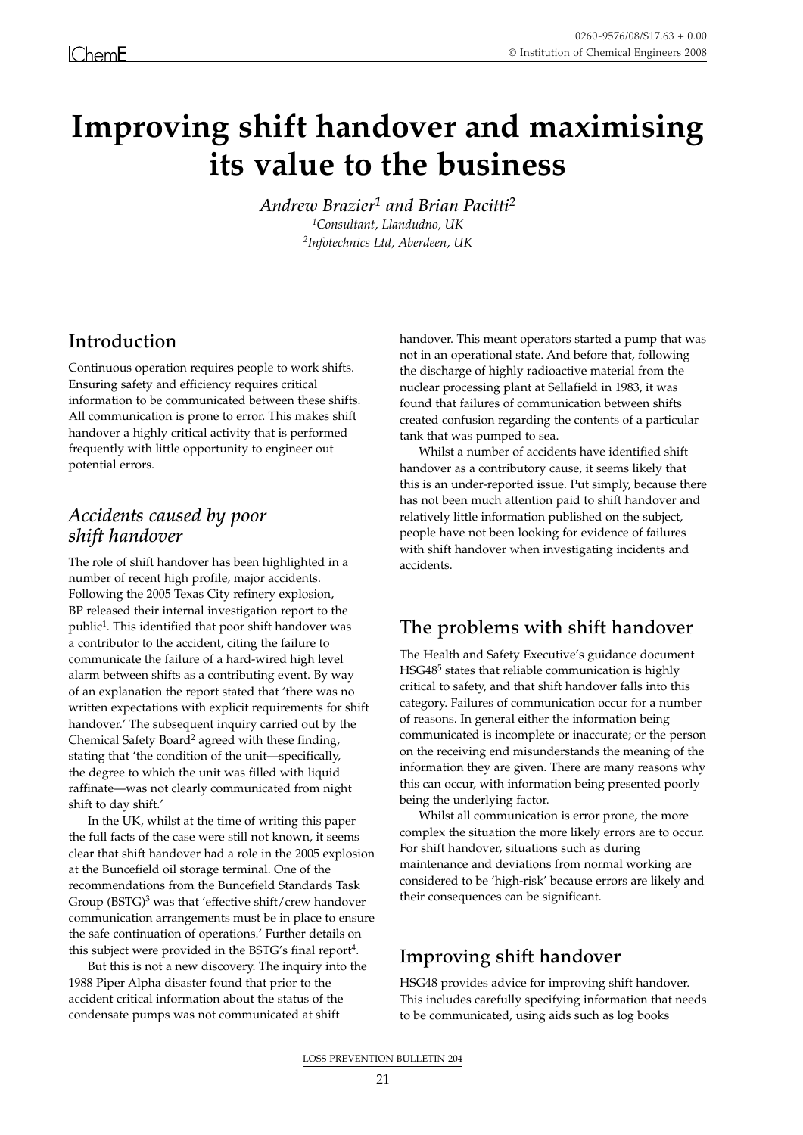# **Improving shift handover and maximising its value to the business**

*Andrew Brazier1 and Brian Pacitti<sup>2</sup> 1Consultant, Llandudno, UK 2Infotechnics Ltd, Aberdeen, UK*

# **Introduction**

Continuous operation requires people to work shifts. Ensuring safety and efficiency requires critical information to be communicated between these shifts. All communication is prone to error. This makes shift handover a highly critical activity that is performed frequently with little opportunity to engineer out potential errors.

## *Accidents caused by poor shift handover*

The role of shift handover has been highlighted in a number of recent high profile, major accidents. Following the 2005 Texas City refinery explosion, BP released their internal investigation report to the public<sup>1</sup>. This identified that poor shift handover was a contributor to the accident, citing the failure to communicate the failure of a hard-wired high level alarm between shifts as a contributing event. By way of an explanation the report stated that 'there was no written expectations with explicit requirements for shift handover.' The subsequent inquiry carried out by the Chemical Safety Board2 agreed with these finding, stating that 'the condition of the unit—specifically, the degree to which the unit was filled with liquid raffinate—was not clearly communicated from night shift to day shift.'

In the UK, whilst at the time of writing this paper the full facts of the case were still not known, it seems clear that shift handover had a role in the 2005 explosion at the Buncefield oil storage terminal. One of the recommendations from the Buncefield Standards Task Group (BSTG)<sup>3</sup> was that 'effective shift/crew handover communication arrangements must be in place to ensure the safe continuation of operations.' Further details on this subject were provided in the BSTG's final report<sup>4</sup>.

But this is not a new discovery. The inquiry into the 1988 Piper Alpha disaster found that prior to the accident critical information about the status of the condensate pumps was not communicated at shift

handover. This meant operators started a pump that was not in an operational state. And before that, following the discharge of highly radioactive material from the nuclear processing plant at Sellafield in 1983, it was found that failures of communication between shifts created confusion regarding the contents of a particular tank that was pumped to sea.

Whilst a number of accidents have identified shift handover as a contributory cause, it seems likely that this is an under-reported issue. Put simply, because there has not been much attention paid to shift handover and relatively little information published on the subject, people have not been looking for evidence of failures with shift handover when investigating incidents and accidents.

# **The problems with shift handover**

The Health and Safety Executive's guidance document HSG48<sup>5</sup> states that reliable communication is highly critical to safety, and that shift handover falls into this category. Failures of communication occur for a number of reasons. In general either the information being communicated is incomplete or inaccurate; or the person on the receiving end misunderstands the meaning of the information they are given. There are many reasons why this can occur, with information being presented poorly being the underlying factor.

Whilst all communication is error prone, the more complex the situation the more likely errors are to occur. For shift handover, situations such as during maintenance and deviations from normal working are considered to be 'high-risk' because errors are likely and their consequences can be significant.

# **Improving shift handover**

HSG48 provides advice for improving shift handover. This includes carefully specifying information that needs to be communicated, using aids such as log books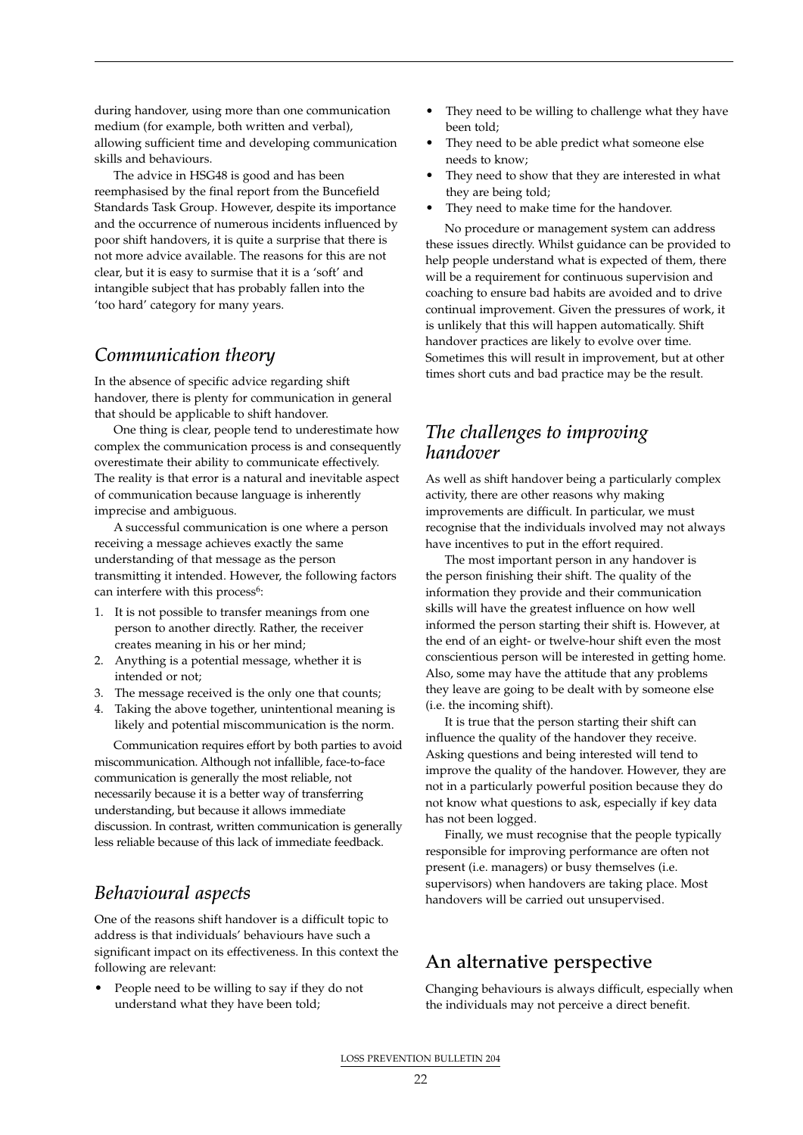during handover, using more than one communication medium (for example, both written and verbal), allowing sufficient time and developing communication skills and behaviours.

The advice in HSG48 is good and has been reemphasised by the final report from the Buncefield Standards Task Group. However, despite its importance and the occurrence of numerous incidents influenced by poor shift handovers, it is quite a surprise that there is not more advice available. The reasons for this are not clear, but it is easy to surmise that it is a 'soft' and intangible subject that has probably fallen into the 'too hard' category for many years.

#### *Communication theory*

In the absence of specific advice regarding shift handover, there is plenty for communication in general that should be applicable to shift handover.

One thing is clear, people tend to underestimate how complex the communication process is and consequently overestimate their ability to communicate effectively. The reality is that error is a natural and inevitable aspect of communication because language is inherently imprecise and ambiguous.

A successful communication is one where a person receiving a message achieves exactly the same understanding of that message as the person transmitting it intended. However, the following factors can interfere with this process<sup>6</sup>:

- 1. It is not possible to transfer meanings from one person to another directly. Rather, the receiver creates meaning in his or her mind;
- 2. Anything is a potential message, whether it is intended or not;
- 3. The message received is the only one that counts;
- 4. Taking the above together, unintentional meaning is likely and potential miscommunication is the norm.

Communication requires effort by both parties to avoid miscommunication. Although not infallible, face-to-face communication is generally the most reliable, not necessarily because it is a better way of transferring understanding, but because it allows immediate discussion. In contrast, written communication is generally less reliable because of this lack of immediate feedback.

# *Behavioural aspects*

One of the reasons shift handover is a difficult topic to address is that individuals' behaviours have such a significant impact on its effectiveness. In this context the following are relevant:

• People need to be willing to say if they do not understand what they have been told;

- They need to be willing to challenge what they have been told;
- They need to be able predict what someone else needs to know;
- They need to show that they are interested in what they are being told;
- They need to make time for the handover.

No procedure or management system can address these issues directly. Whilst guidance can be provided to help people understand what is expected of them, there will be a requirement for continuous supervision and coaching to ensure bad habits are avoided and to drive continual improvement. Given the pressures of work, it is unlikely that this will happen automatically. Shift handover practices are likely to evolve over time. Sometimes this will result in improvement, but at other times short cuts and bad practice may be the result.

#### *The challenges to improving handover*

As well as shift handover being a particularly complex activity, there are other reasons why making improvements are difficult. In particular, we must recognise that the individuals involved may not always have incentives to put in the effort required.

The most important person in any handover is the person finishing their shift. The quality of the information they provide and their communication skills will have the greatest influence on how well informed the person starting their shift is. However, at the end of an eight- or twelve-hour shift even the most conscientious person will be interested in getting home. Also, some may have the attitude that any problems they leave are going to be dealt with by someone else (i.e. the incoming shift).

It is true that the person starting their shift can influence the quality of the handover they receive. Asking questions and being interested will tend to improve the quality of the handover. However, they are not in a particularly powerful position because they do not know what questions to ask, especially if key data has not been logged.

Finally, we must recognise that the people typically responsible for improving performance are often not present (i.e. managers) or busy themselves (i.e. supervisors) when handovers are taking place. Most handovers will be carried out unsupervised.

# **An alternative perspective**

Changing behaviours is always difficult, especially when the individuals may not perceive a direct benefit.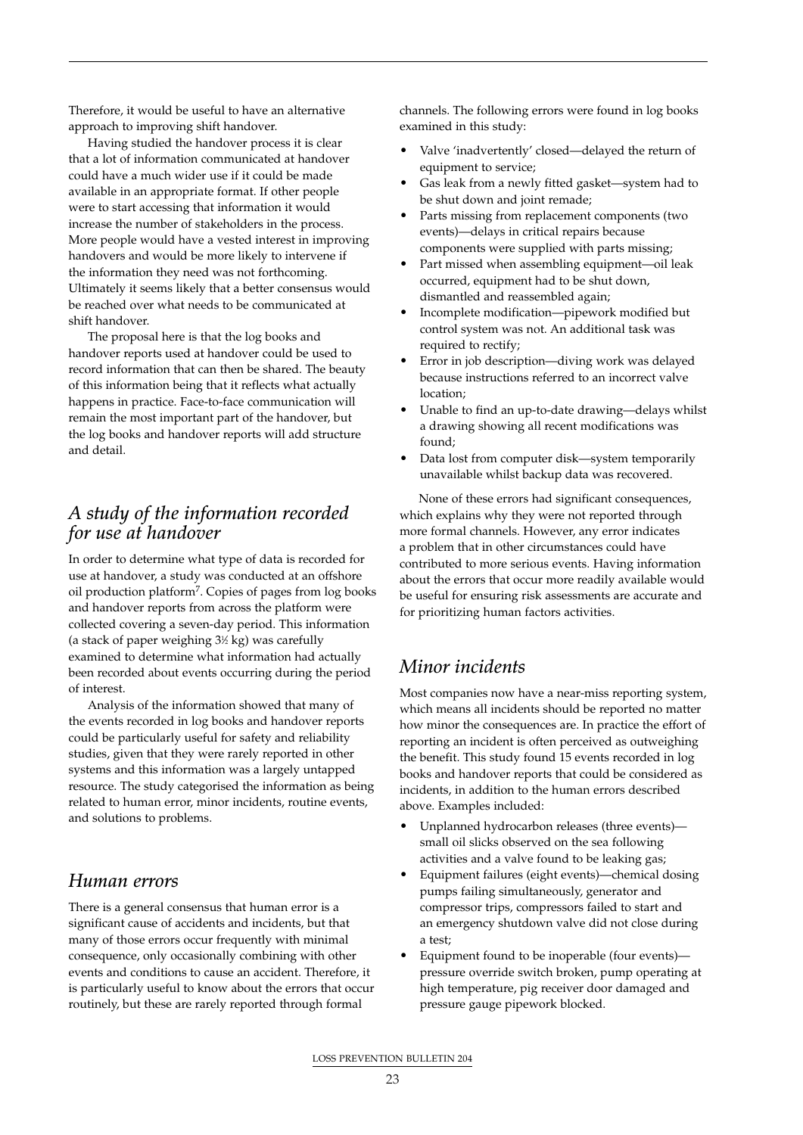Therefore, it would be useful to have an alternative approach to improving shift handover.

Having studied the handover process it is clear that a lot of information communicated at handover could have a much wider use if it could be made available in an appropriate format. If other people were to start accessing that information it would increase the number of stakeholders in the process. More people would have a vested interest in improving handovers and would be more likely to intervene if the information they need was not forthcoming. Ultimately it seems likely that a better consensus would be reached over what needs to be communicated at shift handover.

The proposal here is that the log books and handover reports used at handover could be used to record information that can then be shared. The beauty of this information being that it reflects what actually happens in practice. Face-to-face communication will remain the most important part of the handover, but the log books and handover reports will add structure and detail.

## *A study of the information recorded for use at handover*

In order to determine what type of data is recorded for use at handover, a study was conducted at an offshore oil production platform7. Copies of pages from log books and handover reports from across the platform were collected covering a seven-day period. This information (a stack of paper weighing 31 ⁄2 kg) was carefully examined to determine what information had actually been recorded about events occurring during the period of interest.

Analysis of the information showed that many of the events recorded in log books and handover reports could be particularly useful for safety and reliability studies, given that they were rarely reported in other systems and this information was a largely untapped resource. The study categorised the information as being related to human error, minor incidents, routine events, and solutions to problems.

#### *Human errors*

There is a general consensus that human error is a significant cause of accidents and incidents, but that many of those errors occur frequently with minimal consequence, only occasionally combining with other events and conditions to cause an accident. Therefore, it is particularly useful to know about the errors that occur routinely, but these are rarely reported through formal

channels. The following errors were found in log books examined in this study:

- Valve 'inadvertently' closed—delayed the return of equipment to service;
- Gas leak from a newly fitted gasket-system had to be shut down and joint remade;
- Parts missing from replacement components (two events)—delays in critical repairs because components were supplied with parts missing;
- Part missed when assembling equipment—oil leak occurred, equipment had to be shut down, dismantled and reassembled again;
- Incomplete modification—pipework modified but control system was not. An additional task was required to rectify;
- Error in job description—diving work was delayed because instructions referred to an incorrect valve location;
- Unable to find an up-to-date drawing—delays whilst a drawing showing all recent modifications was found;
- Data lost from computer disk—system temporarily unavailable whilst backup data was recovered.

None of these errors had significant consequences, which explains why they were not reported through more formal channels. However, any error indicates a problem that in other circumstances could have contributed to more serious events. Having information about the errors that occur more readily available would be useful for ensuring risk assessments are accurate and for prioritizing human factors activities.

#### *Minor incidents*

Most companies now have a near-miss reporting system, which means all incidents should be reported no matter how minor the consequences are. In practice the effort of reporting an incident is often perceived as outweighing the benefit. This study found 15 events recorded in log books and handover reports that could be considered as incidents, in addition to the human errors described above. Examples included:

- Unplanned hydrocarbon releases (three events) small oil slicks observed on the sea following activities and a valve found to be leaking gas;
- Equipment failures (eight events)—chemical dosing pumps failing simultaneously, generator and compressor trips, compressors failed to start and an emergency shutdown valve did not close during a test;
- Equipment found to be inoperable (four events) pressure override switch broken, pump operating at high temperature, pig receiver door damaged and pressure gauge pipework blocked.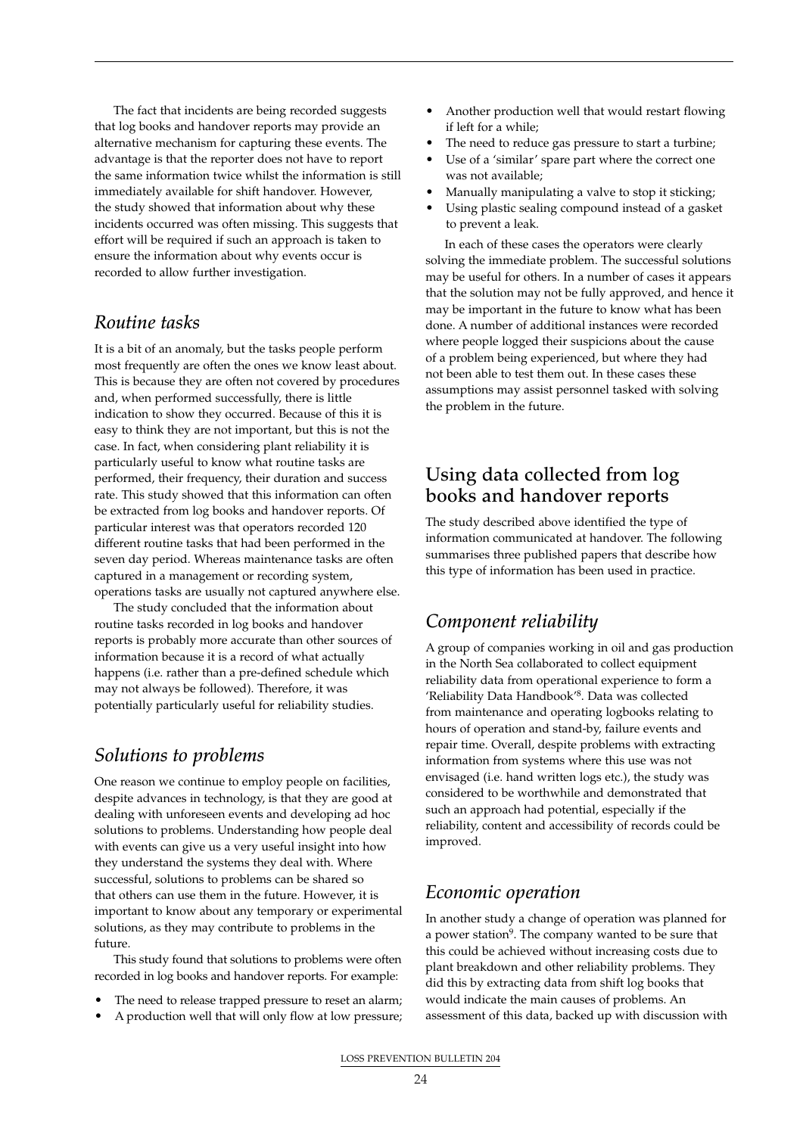The fact that incidents are being recorded suggests that log books and handover reports may provide an alternative mechanism for capturing these events. The advantage is that the reporter does not have to report the same information twice whilst the information is still immediately available for shift handover. However, the study showed that information about why these incidents occurred was often missing. This suggests that effort will be required if such an approach is taken to ensure the information about why events occur is recorded to allow further investigation.

#### *Routine tasks*

It is a bit of an anomaly, but the tasks people perform most frequently are often the ones we know least about. This is because they are often not covered by procedures and, when performed successfully, there is little indication to show they occurred. Because of this it is easy to think they are not important, but this is not the case. In fact, when considering plant reliability it is particularly useful to know what routine tasks are performed, their frequency, their duration and success rate. This study showed that this information can often be extracted from log books and handover reports. Of particular interest was that operators recorded 120 different routine tasks that had been performed in the seven day period. Whereas maintenance tasks are often captured in a management or recording system, operations tasks are usually not captured anywhere else.

The study concluded that the information about routine tasks recorded in log books and handover reports is probably more accurate than other sources of information because it is a record of what actually happens (i.e. rather than a pre-defined schedule which may not always be followed). Therefore, it was potentially particularly useful for reliability studies.

## *Solutions to problems*

One reason we continue to employ people on facilities, despite advances in technology, is that they are good at dealing with unforeseen events and developing ad hoc solutions to problems. Understanding how people deal with events can give us a very useful insight into how they understand the systems they deal with. Where successful, solutions to problems can be shared so that others can use them in the future. However, it is important to know about any temporary or experimental solutions, as they may contribute to problems in the future.

This study found that solutions to problems were often recorded in log books and handover reports. For example:

- The need to release trapped pressure to reset an alarm;
- A production well that will only flow at low pressure;
- Another production well that would restart flowing if left for a while;
- The need to reduce gas pressure to start a turbine;
- Use of a 'similar' spare part where the correct one was not available;
- Manually manipulating a valve to stop it sticking;
- Using plastic sealing compound instead of a gasket to prevent a leak.

In each of these cases the operators were clearly solving the immediate problem. The successful solutions may be useful for others. In a number of cases it appears that the solution may not be fully approved, and hence it may be important in the future to know what has been done. A number of additional instances were recorded where people logged their suspicions about the cause of a problem being experienced, but where they had not been able to test them out. In these cases these assumptions may assist personnel tasked with solving the problem in the future.

# **Using data collected from log books and handover reports**

The study described above identified the type of information communicated at handover. The following summarises three published papers that describe how this type of information has been used in practice.

# *Component reliability*

A group of companies working in oil and gas production in the North Sea collaborated to collect equipment reliability data from operational experience to form a 'Reliability Data Handbook'<sup>8</sup>. Data was collected from maintenance and operating logbooks relating to hours of operation and stand-by, failure events and repair time. Overall, despite problems with extracting information from systems where this use was not envisaged (i.e. hand written logs etc.), the study was considered to be worthwhile and demonstrated that such an approach had potential, especially if the reliability, content and accessibility of records could be improved.

# *Economic operation*

In another study a change of operation was planned for a power station<sup>9</sup>. The company wanted to be sure that this could be achieved without increasing costs due to plant breakdown and other reliability problems. They did this by extracting data from shift log books that would indicate the main causes of problems. An assessment of this data, backed up with discussion with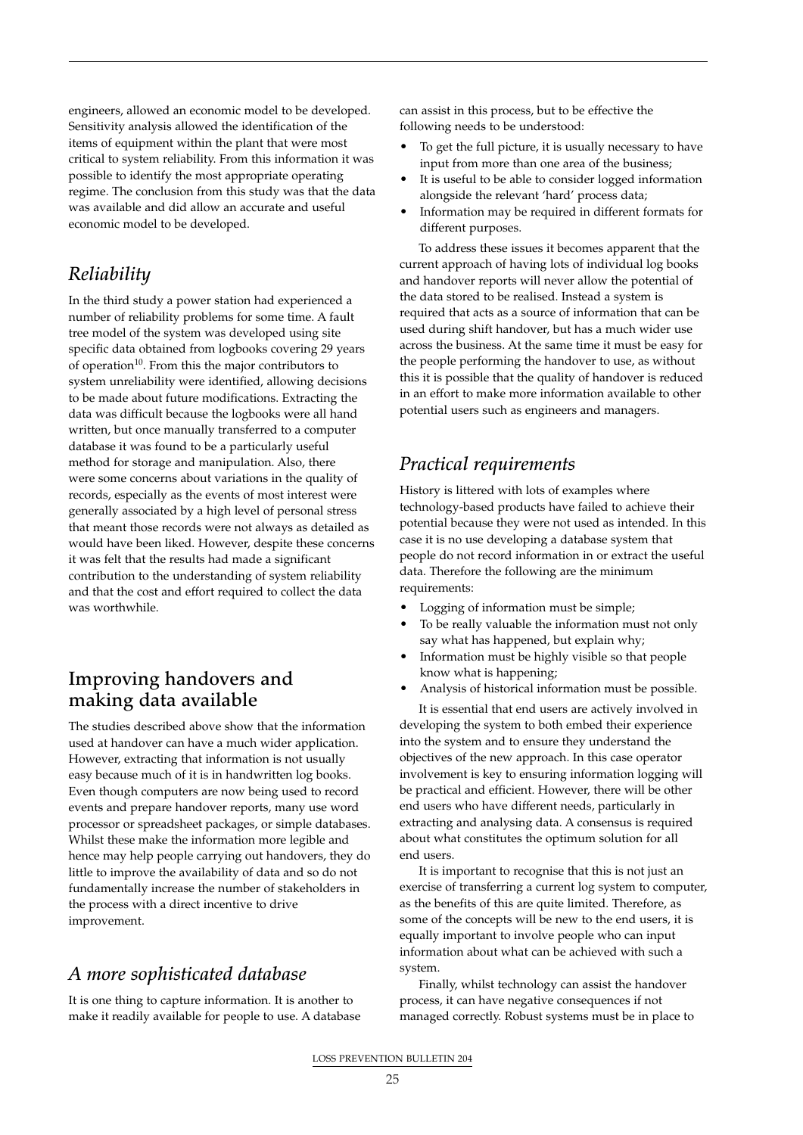engineers, allowed an economic model to be developed. Sensitivity analysis allowed the identification of the items of equipment within the plant that were most critical to system reliability. From this information it was possible to identify the most appropriate operating regime. The conclusion from this study was that the data was available and did allow an accurate and useful economic model to be developed.

#### *Reliability*

In the third study a power station had experienced a number of reliability problems for some time. A fault tree model of the system was developed using site specific data obtained from logbooks covering 29 years of operation<sup>10</sup>. From this the major contributors to system unreliability were identified, allowing decisions to be made about future modifications. Extracting the data was difficult because the logbooks were all hand written, but once manually transferred to a computer database it was found to be a particularly useful method for storage and manipulation. Also, there were some concerns about variations in the quality of records, especially as the events of most interest were generally associated by a high level of personal stress that meant those records were not always as detailed as would have been liked. However, despite these concerns it was felt that the results had made a significant contribution to the understanding of system reliability and that the cost and effort required to collect the data was worthwhile.

## **Improving handovers and making data available**

The studies described above show that the information used at handover can have a much wider application. However, extracting that information is not usually easy because much of it is in handwritten log books. Even though computers are now being used to record events and prepare handover reports, many use word processor or spreadsheet packages, or simple databases. Whilst these make the information more legible and hence may help people carrying out handovers, they do little to improve the availability of data and so do not fundamentally increase the number of stakeholders in the process with a direct incentive to drive improvement.

## *A more sophisticated database*

It is one thing to capture information. It is another to make it readily available for people to use. A database can assist in this process, but to be effective the following needs to be understood:

- To get the full picture, it is usually necessary to have input from more than one area of the business;
- It is useful to be able to consider logged information alongside the relevant 'hard' process data;
- Information may be required in different formats for different purposes.

To address these issues it becomes apparent that the current approach of having lots of individual log books and handover reports will never allow the potential of the data stored to be realised. Instead a system is required that acts as a source of information that can be used during shift handover, but has a much wider use across the business. At the same time it must be easy for the people performing the handover to use, as without this it is possible that the quality of handover is reduced in an effort to make more information available to other potential users such as engineers and managers.

## *Practical requirements*

History is littered with lots of examples where technology-based products have failed to achieve their potential because they were not used as intended. In this case it is no use developing a database system that people do not record information in or extract the useful data. Therefore the following are the minimum requirements:

- Logging of information must be simple;
- To be really valuable the information must not only say what has happened, but explain why;
- Information must be highly visible so that people know what is happening;
- Analysis of historical information must be possible.

It is essential that end users are actively involved in developing the system to both embed their experience into the system and to ensure they understand the objectives of the new approach. In this case operator involvement is key to ensuring information logging will be practical and efficient. However, there will be other end users who have different needs, particularly in extracting and analysing data. A consensus is required about what constitutes the optimum solution for all end users.

It is important to recognise that this is not just an exercise of transferring a current log system to computer, as the benefits of this are quite limited. Therefore, as some of the concepts will be new to the end users, it is equally important to involve people who can input information about what can be achieved with such a system.

Finally, whilst technology can assist the handover process, it can have negative consequences if not managed correctly. Robust systems must be in place to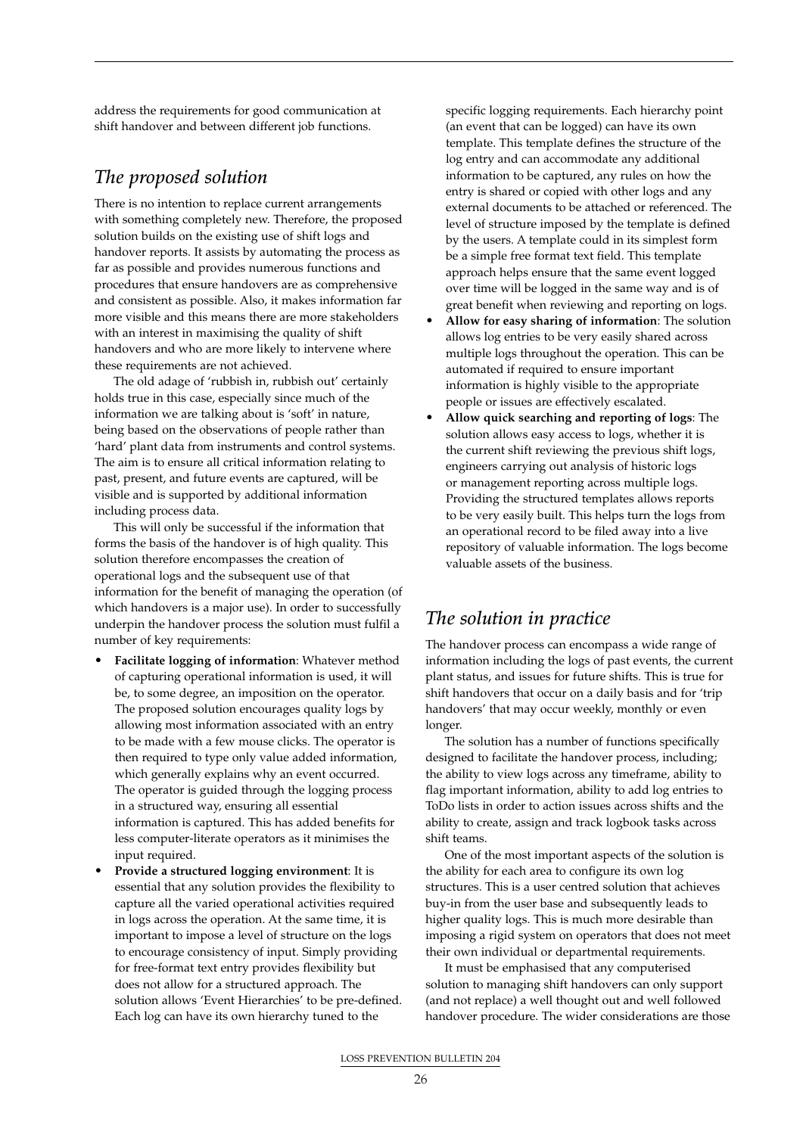address the requirements for good communication at shift handover and between different job functions.

#### *The proposed solution*

There is no intention to replace current arrangements with something completely new. Therefore, the proposed solution builds on the existing use of shift logs and handover reports. It assists by automating the process as far as possible and provides numerous functions and procedures that ensure handovers are as comprehensive and consistent as possible. Also, it makes information far more visible and this means there are more stakeholders with an interest in maximising the quality of shift handovers and who are more likely to intervene where these requirements are not achieved.

The old adage of 'rubbish in, rubbish out' certainly holds true in this case, especially since much of the information we are talking about is 'soft' in nature, being based on the observations of people rather than 'hard' plant data from instruments and control systems. The aim is to ensure all critical information relating to past, present, and future events are captured, will be visible and is supported by additional information including process data.

This will only be successful if the information that forms the basis of the handover is of high quality. This solution therefore encompasses the creation of operational logs and the subsequent use of that information for the benefit of managing the operation (of which handovers is a major use). In order to successfully underpin the handover process the solution must fulfil a number of key requirements:

- **Facilitate logging of information**: Whatever method of capturing operational information is used, it will be, to some degree, an imposition on the operator. The proposed solution encourages quality logs by allowing most information associated with an entry to be made with a few mouse clicks. The operator is then required to type only value added information, which generally explains why an event occurred. The operator is guided through the logging process in a structured way, ensuring all essential information is captured. This has added benefits for less computer-literate operators as it minimises the input required.
- **Provide a structured logging environment**: It is essential that any solution provides the flexibility to capture all the varied operational activities required in logs across the operation. At the same time, it is important to impose a level of structure on the logs to encourage consistency of input. Simply providing for free-format text entry provides flexibility but does not allow for a structured approach. The solution allows 'Event Hierarchies' to be pre-defined. Each log can have its own hierarchy tuned to the

specific logging requirements. Each hierarchy point (an event that can be logged) can have its own template. This template defines the structure of the log entry and can accommodate any additional information to be captured, any rules on how the entry is shared or copied with other logs and any external documents to be attached or referenced. The level of structure imposed by the template is defined by the users. A template could in its simplest form be a simple free format text field. This template approach helps ensure that the same event logged over time will be logged in the same way and is of great benefit when reviewing and reporting on logs.

- **Allow for easy sharing of information**: The solution allows log entries to be very easily shared across multiple logs throughout the operation. This can be automated if required to ensure important information is highly visible to the appropriate people or issues are effectively escalated.
- **Allow quick searching and reporting of logs**: The solution allows easy access to logs, whether it is the current shift reviewing the previous shift logs, engineers carrying out analysis of historic logs or management reporting across multiple logs. Providing the structured templates allows reports to be very easily built. This helps turn the logs from an operational record to be filed away into a live repository of valuable information. The logs become valuable assets of the business.

#### *The solution in practice*

The handover process can encompass a wide range of information including the logs of past events, the current plant status, and issues for future shifts. This is true for shift handovers that occur on a daily basis and for 'trip handovers' that may occur weekly, monthly or even longer.

The solution has a number of functions specifically designed to facilitate the handover process, including; the ability to view logs across any timeframe, ability to flag important information, ability to add log entries to ToDo lists in order to action issues across shifts and the ability to create, assign and track logbook tasks across shift teams.

One of the most important aspects of the solution is the ability for each area to configure its own log structures. This is a user centred solution that achieves buy-in from the user base and subsequently leads to higher quality logs. This is much more desirable than imposing a rigid system on operators that does not meet their own individual or departmental requirements.

It must be emphasised that any computerised solution to managing shift handovers can only support (and not replace) a well thought out and well followed handover procedure. The wider considerations are those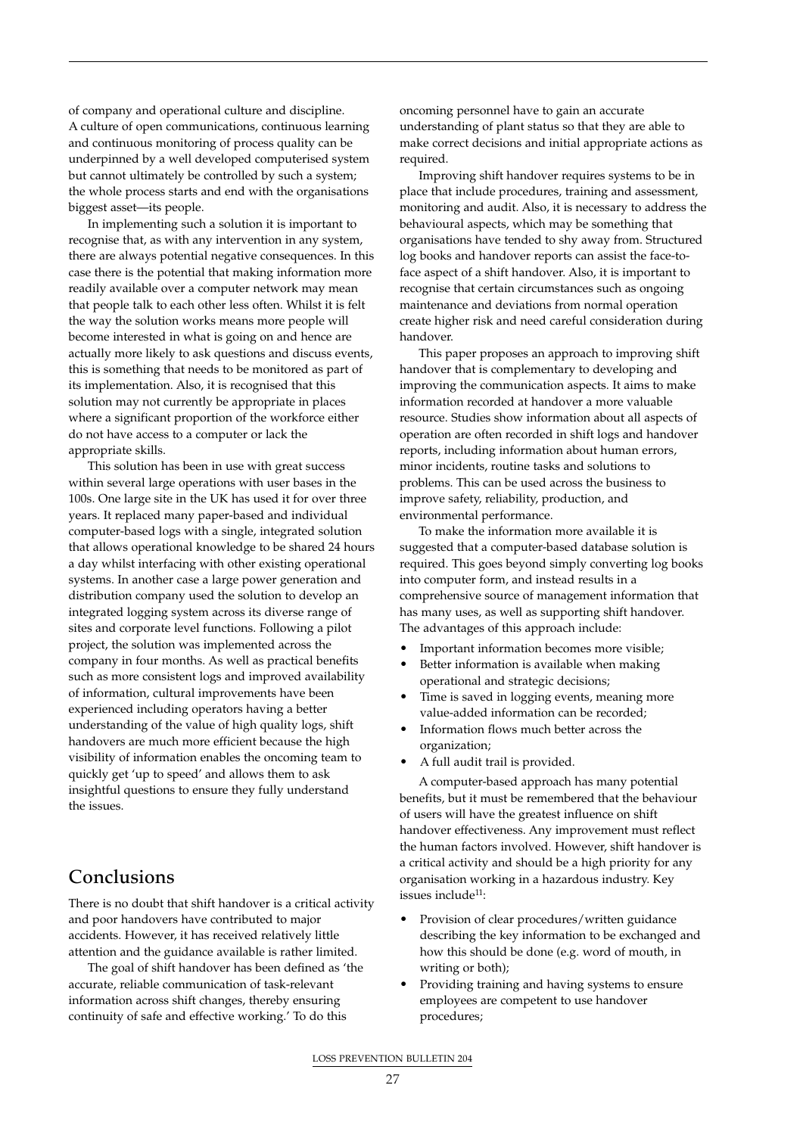of company and operational culture and discipline. A culture of open communications, continuous learning and continuous monitoring of process quality can be underpinned by a well developed computerised system but cannot ultimately be controlled by such a system; the whole process starts and end with the organisations biggest asset—its people.

In implementing such a solution it is important to recognise that, as with any intervention in any system, there are always potential negative consequences. In this case there is the potential that making information more readily available over a computer network may mean that people talk to each other less often. Whilst it is felt the way the solution works means more people will become interested in what is going on and hence are actually more likely to ask questions and discuss events, this is something that needs to be monitored as part of its implementation. Also, it is recognised that this solution may not currently be appropriate in places where a significant proportion of the workforce either do not have access to a computer or lack the appropriate skills.

This solution has been in use with great success within several large operations with user bases in the 100s. One large site in the UK has used it for over three years. It replaced many paper-based and individual computer-based logs with a single, integrated solution that allows operational knowledge to be shared 24 hours a day whilst interfacing with other existing operational systems. In another case a large power generation and distribution company used the solution to develop an integrated logging system across its diverse range of sites and corporate level functions. Following a pilot project, the solution was implemented across the company in four months. As well as practical benefits such as more consistent logs and improved availability of information, cultural improvements have been experienced including operators having a better understanding of the value of high quality logs, shift handovers are much more efficient because the high visibility of information enables the oncoming team to quickly get 'up to speed' and allows them to ask insightful questions to ensure they fully understand the issues.

#### **Conclusions**

There is no doubt that shift handover is a critical activity and poor handovers have contributed to major accidents. However, it has received relatively little attention and the guidance available is rather limited.

The goal of shift handover has been defined as 'the accurate, reliable communication of task-relevant information across shift changes, thereby ensuring continuity of safe and effective working.' To do this

oncoming personnel have to gain an accurate understanding of plant status so that they are able to make correct decisions and initial appropriate actions as required.

Improving shift handover requires systems to be in place that include procedures, training and assessment, monitoring and audit. Also, it is necessary to address the behavioural aspects, which may be something that organisations have tended to shy away from. Structured log books and handover reports can assist the face-toface aspect of a shift handover. Also, it is important to recognise that certain circumstances such as ongoing maintenance and deviations from normal operation create higher risk and need careful consideration during handover.

This paper proposes an approach to improving shift handover that is complementary to developing and improving the communication aspects. It aims to make information recorded at handover a more valuable resource. Studies show information about all aspects of operation are often recorded in shift logs and handover reports, including information about human errors, minor incidents, routine tasks and solutions to problems. This can be used across the business to improve safety, reliability, production, and environmental performance.

To make the information more available it is suggested that a computer-based database solution is required. This goes beyond simply converting log books into computer form, and instead results in a comprehensive source of management information that has many uses, as well as supporting shift handover. The advantages of this approach include:

- Important information becomes more visible;
- Better information is available when making operational and strategic decisions;
- Time is saved in logging events, meaning more value-added information can be recorded;
- Information flows much better across the organization;
- A full audit trail is provided.

A computer-based approach has many potential benefits, but it must be remembered that the behaviour of users will have the greatest influence on shift handover effectiveness. Any improvement must reflect the human factors involved. However, shift handover is a critical activity and should be a high priority for any organisation working in a hazardous industry. Key issues include<sup>11</sup>:

- Provision of clear procedures/written guidance describing the key information to be exchanged and how this should be done (e.g. word of mouth, in writing or both);
- Providing training and having systems to ensure employees are competent to use handover procedures;